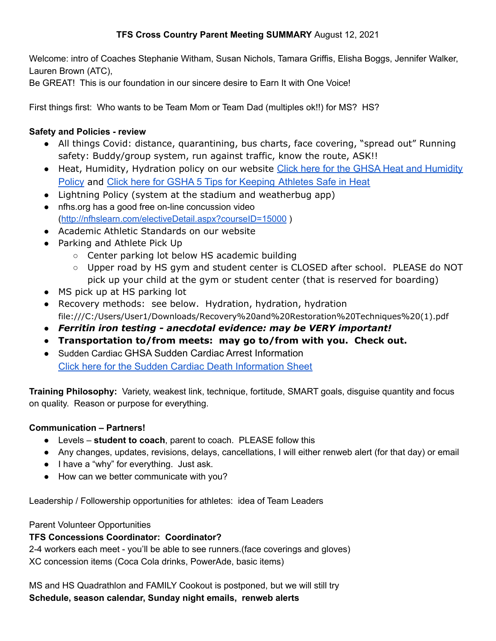## **TFS Cross Country Parent Meeting SUMMARY** August 12, 2021

Welcome: intro of Coaches Stephanie Witham, Susan Nichols, Tamara Griffis, Elisha Boggs, Jennifer Walker, Lauren Brown (ATC),

Be GREAT! This is our foundation in our sincere desire to Earn It with One Voice!

First things first: Who wants to be Team Mom or Team Dad (multiples ok!!) for MS? HS?

## **Safety and Policies - review**

- All things Covid: distance, quarantining, bus charts, face covering, "spread out" Running safety: Buddy/group system, run against traffic, know the route, ASK!!
- Heat, Humidity, Hydration policy on our website Click [here for the GHSA Heat and Humidity](https://www.ghsa.net/sites/default/files/documents/sports-medicine/PracticePolicyHeatHumidity2018-19.pdf) [Policy](https://www.ghsa.net/sites/default/files/documents/sports-medicine/PracticePolicyHeatHumidity2018-19.pdf) and [Click here for GSHA 5 Tips for Keeping](https://www.ghsa.net/sites/default/files/documents/HeatTIpsGSSIAdvertorial_BeatTheHeat.pdf) Athletes Safe in Heat
- Lightning Policy (system at the stadium and weatherbug app)
- nfhs.org has a good free on-line concussion video (<http://nfhslearn.com/electiveDetail.aspx?courseID=15000> )
- Academic Athletic Standards on our website
- Parking and Athlete Pick Up
	- Center parking lot below HS academic building
	- Upper road by HS gym and student center is CLOSED after school. PLEASE do NOT pick up your child at the gym or student center (that is reserved for boarding)
- MS pick up at HS parking lot
- Recovery methods: see below. Hydration, hydration, hydration file:///C:/Users/User1/Downloads/Recovery%20and%20Restoration%20Techniques%20(1).pdf
- *● Ferritin iron testing - anecdotal evidence: may be VERY important!*
- **● Transportation to/from meets: may go to/from with you. Check out.**
- *●* Sudden Cardiac GHSA Sudden Cardiac Arrest Information [Click here for the Sudden Cardiac Death Information](https://www.ghsa.net/sites/default/files/documents/sports-medicine/Sudden_Cardiac_Death_Prevention_Info.pdf) Sheet

**Training Philosophy:** Variety, weakest link, technique, fortitude, SMART goals, disguise quantity and focus on quality. Reason or purpose for everything.

# **Communication – Partners!**

- Levels **student to coach**, parent to coach. PLEASE follow this
- Any changes, updates, revisions, delays, cancellations, I will either renweb alert (for that day) or email
- I have a "why" for everything. Just ask.
- How can we better communicate with you?

Leadership / Followership opportunities for athletes: idea of Team Leaders

### Parent Volunteer Opportunities

# **TFS Concessions Coordinator: Coordinator?**

2-4 workers each meet - you'll be able to see runners.(face coverings and gloves) XC concession items (Coca Cola drinks, PowerAde, basic items)

MS and HS Quadrathlon and FAMILY Cookout is postponed, but we will still try **Schedule, season calendar, Sunday night emails, renweb alerts**